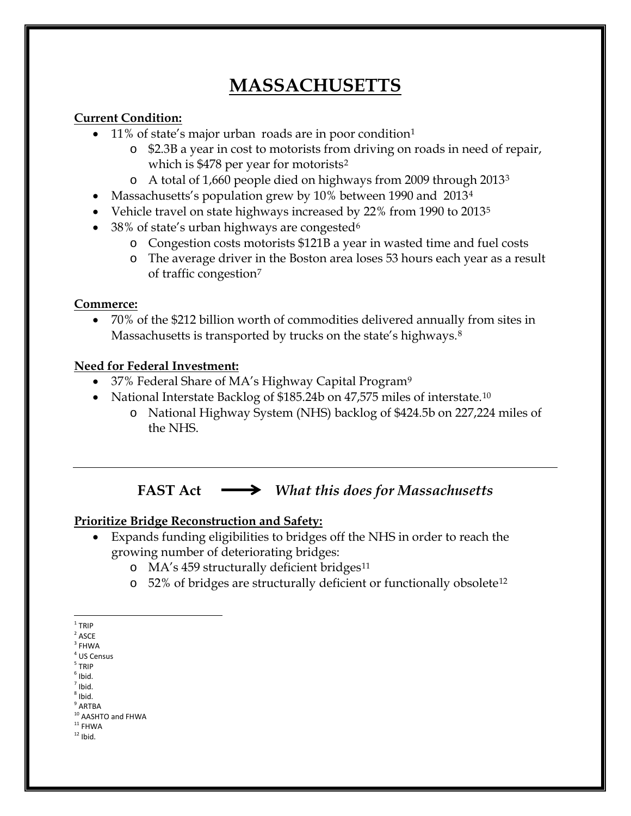# **MASSACHUSETTS**

## **Current Condition:**

- [1](#page-0-0)1% of state's major urban roads are in poor condition<sup>1</sup>
	- o \$2.3B a year in cost to motorists from driving on roads in need of repair, which is \$478 per year for motorists<sup>[2](#page-0-1)</sup>
	- o A total of 1,660 people died on highways from 2009 through 2013[3](#page-0-2)
- Massachusetts's population grew by 10% between 1990 and 2013<sup>[4](#page-0-3)</sup>
- Vehicle travel on state highways increased by 22% from 1990 to 2013<sup>[5](#page-0-4)</sup>
- 38% of state's urban highways are congested<sup>[6](#page-0-5)</sup>
	- o Congestion costs motorists \$121B a year in wasted time and fuel costs
	- o The average driver in the Boston area loses 53 hours each year as a result of traffic congestion[7](#page-0-6)

#### **Commerce:**

• 70% of the \$212 billion worth of commodities delivered annually from sites in Massachusetts is transported by trucks on the state's highways.<sup>8</sup>

#### **Need for Federal Investment:**

- 37% Federal Share of MA's Highway Capital Program<sup>[9](#page-0-8)</sup>
- National Interstate Backlog of \$185.24b on 47,575 miles of interstate.<sup>[10](#page-0-9)</sup>
	- o National Highway System (NHS) backlog of \$424.5b on 227,224 miles of the NHS.

**FAST Act** *What this does for Massachusetts* 

# **Prioritize Bridge Reconstruction and Safety:**

- Expands funding eligibilities to bridges off the NHS in order to reach the growing number of deteriorating bridges:
	- o MA's 459 structurally deficient bridges<sup>[11](#page-0-10)</sup>
	- o 52% of bridges are structurally deficient or functionally obsolete[12](#page-0-11)

<span id="page-0-6"></span><span id="page-0-5"></span> $<sup>7</sup>$  Ibid.</sup>

 $1$  TRIP

<span id="page-0-1"></span><span id="page-0-0"></span> $2$  ASCE

<span id="page-0-2"></span> $3$  FHWA

<sup>4</sup> US Census

<span id="page-0-4"></span><span id="page-0-3"></span><sup>5</sup> TRIP  $<sup>6</sup>$  Ibid.</sup>

 $8$  Ibid.

<span id="page-0-8"></span><span id="page-0-7"></span> $^9$  ARTBA

<span id="page-0-9"></span> $10$  AASHTO and FHWA<br> $11$  FHWA

<span id="page-0-11"></span><span id="page-0-10"></span> $12$  Ibid.